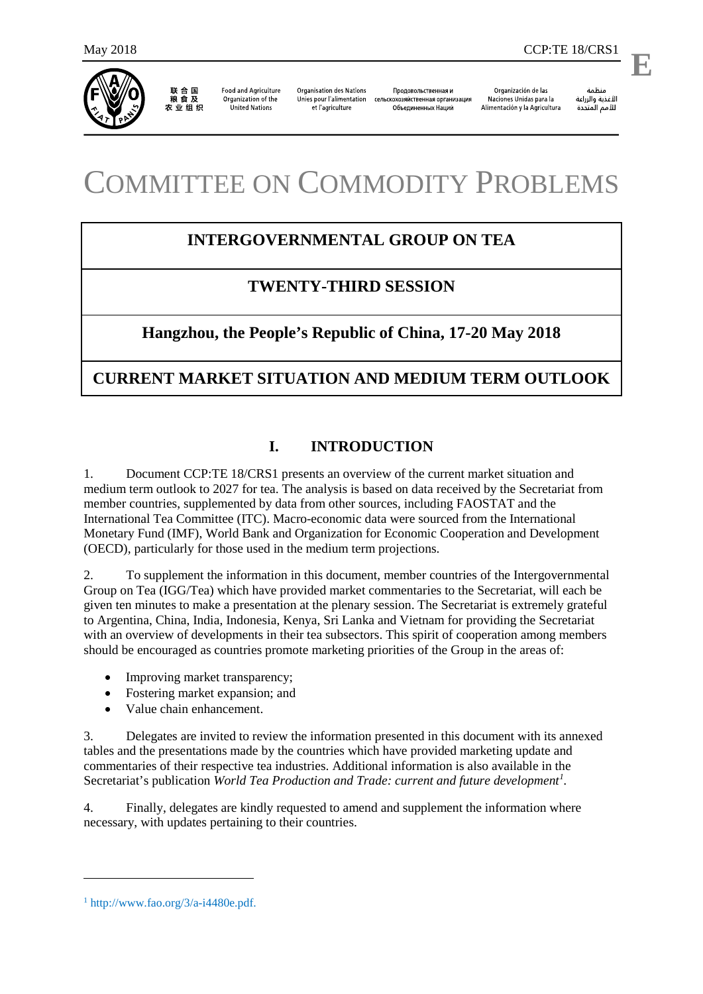

联合国<br>粮食及 农业组织

**Food and Agriculture** Organization of the **United Nations** 

**Organisation des Nations** Unies pour l'alimentation et l'agriculture

Продовольственная и сельскохозяйственная организация Объединенных Наций

Organización de las Naciones Unidas para la Alimentación y la Agricultura

منظمة الأغذية والزراعة للأمم المتحدة

.

**E**

# COMMITTEE ON COMMODITY PROBLEMS

# **INTERGOVERNMENTAL GROUP ON TEA**

# **TWENTY-THIRD SESSION**

# **Hangzhou, the People's Republic of China, 17-20 May 2018**

# **CURRENT MARKET SITUATION AND MEDIUM TERM OUTLOOK**

## **I. INTRODUCTION**

1. Document CCP:TE 18/CRS1 presents an overview of the current market situation and medium term outlook to 2027 for tea. The analysis is based on data received by the Secretariat from member countries, supplemented by data from other sources, including FAOSTAT and the International Tea Committee (ITC). Macro-economic data were sourced from the International Monetary Fund (IMF), World Bank and Organization for Economic Cooperation and Development (OECD), particularly for those used in the medium term projections.

2. To supplement the information in this document, member countries of the Intergovernmental Group on Tea (IGG/Tea) which have provided market commentaries to the Secretariat, will each be given ten minutes to make a presentation at the plenary session. The Secretariat is extremely grateful to Argentina, China, India, Indonesia, Kenya, Sri Lanka and Vietnam for providing the Secretariat with an overview of developments in their tea subsectors. This spirit of cooperation among members should be encouraged as countries promote marketing priorities of the Group in the areas of:

- Improving market transparency;
- Fostering market expansion; and
- Value chain enhancement.

3. Delegates are invited to review the information presented in this document with its annexed tables and the presentations made by the countries which have provided marketing update and commentaries of their respective tea industries. Additional information is also available in the Secretariat's publication *World Tea Production and Trade: current and future development[1](#page-0-0) .*

4. Finally, delegates are kindly requested to amend and supplement the information where necessary, with updates pertaining to their countries.

-

<span id="page-0-0"></span> $1 \text{ http://www.fao.org/3/a-i4480e.pdf.}$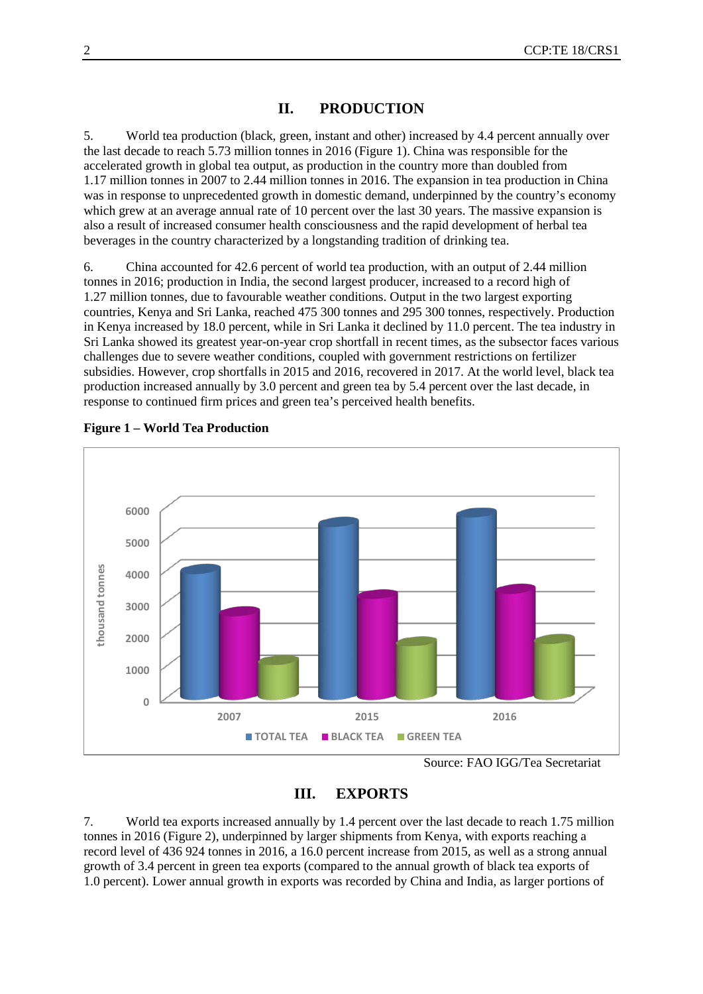## **II. PRODUCTION**

5. World tea production (black, green, instant and other) increased by 4.4 percent annually over the last decade to reach 5.73 million tonnes in 2016 (Figure 1). China was responsible for the accelerated growth in global tea output, as production in the country more than doubled from 1.17 million tonnes in 2007 to 2.44 million tonnes in 2016. The expansion in tea production in China was in response to unprecedented growth in domestic demand, underpinned by the country's economy which grew at an average annual rate of 10 percent over the last 30 years. The massive expansion is also a result of increased consumer health consciousness and the rapid development of herbal tea beverages in the country characterized by a longstanding tradition of drinking tea.

6. China accounted for 42.6 percent of world tea production, with an output of 2.44 million tonnes in 2016; production in India, the second largest producer, increased to a record high of 1.27 million tonnes, due to favourable weather conditions. Output in the two largest exporting countries, Kenya and Sri Lanka, reached 475 300 tonnes and 295 300 tonnes, respectively. Production in Kenya increased by 18.0 percent, while in Sri Lanka it declined by 11.0 percent. The tea industry in Sri Lanka showed its greatest year-on-year crop shortfall in recent times, as the subsector faces various challenges due to severe weather conditions, coupled with government restrictions on fertilizer subsidies. However, crop shortfalls in 2015 and 2016, recovered in 2017. At the world level, black tea production increased annually by 3.0 percent and green tea by 5.4 percent over the last decade, in response to continued firm prices and green tea's perceived health benefits.



## **Figure 1 – World Tea Production**

## **III. EXPORTS**

7. World tea exports increased annually by 1.4 percent over the last decade to reach 1.75 million tonnes in 2016 (Figure 2), underpinned by larger shipments from Kenya, with exports reaching a record level of 436 924 tonnes in 2016, a 16.0 percent increase from 2015, as well as a strong annual growth of 3.4 percent in green tea exports (compared to the annual growth of black tea exports of 1.0 percent). Lower annual growth in exports was recorded by China and India, as larger portions of

Source: FAO IGG/Tea Secretariat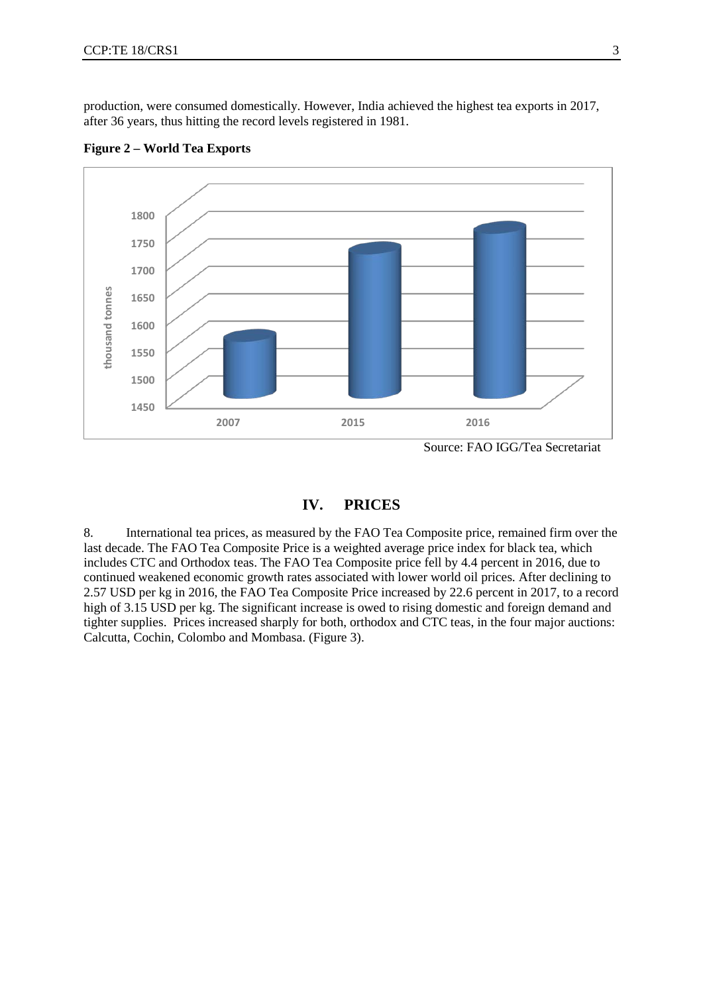production, were consumed domestically. However, India achieved the highest tea exports in 2017, after 36 years, thus hitting the record levels registered in 1981.



**Figure 2 – World Tea Exports**

## **IV. PRICES**

8. International tea prices, as measured by the FAO Tea Composite price, remained firm over the last decade. The FAO Tea Composite Price is a weighted average price index for black tea, which includes CTC and Orthodox teas. The FAO Tea Composite price fell by 4.4 percent in 2016, due to continued weakened economic growth rates associated with lower world oil prices. After declining to 2.57 USD per kg in 2016, the FAO Tea Composite Price increased by 22.6 percent in 2017, to a record high of 3.15 USD per kg. The significant increase is owed to rising domestic and foreign demand and tighter supplies. Prices increased sharply for both, orthodox and CTC teas, in the four major auctions: Calcutta, Cochin, Colombo and Mombasa. (Figure 3).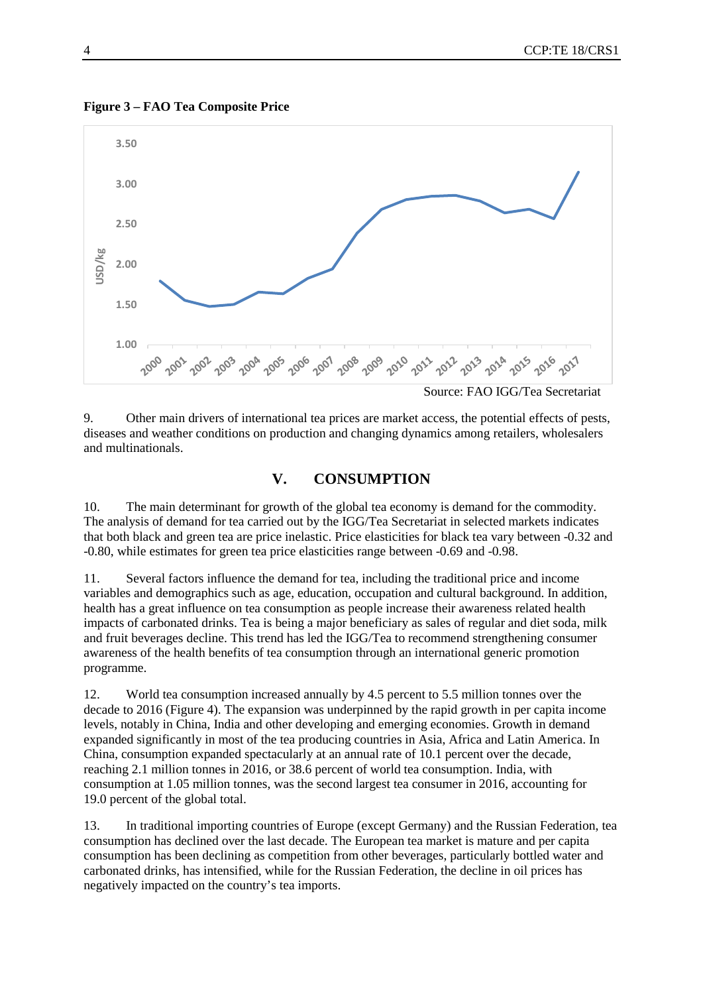



9. Other main drivers of international tea prices are market access, the potential effects of pests, diseases and weather conditions on production and changing dynamics among retailers, wholesalers and multinationals.

## **V. CONSUMPTION**

10. The main determinant for growth of the global tea economy is demand for the commodity. The analysis of demand for tea carried out by the IGG/Tea Secretariat in selected markets indicates that both black and green tea are price inelastic. Price elasticities for black tea vary between -0.32 and -0.80, while estimates for green tea price elasticities range between -0.69 and -0.98.

11. Several factors influence the demand for tea, including the traditional price and income variables and demographics such as age, education, occupation and cultural background. In addition, health has a great influence on tea consumption as people increase their awareness related health impacts of carbonated drinks. Tea is being a major beneficiary as sales of regular and diet soda, milk and fruit beverages decline. This trend has led the IGG/Tea to recommend strengthening consumer awareness of the health benefits of tea consumption through an international generic promotion programme.

12. World tea consumption increased annually by 4.5 percent to 5.5 million tonnes over the decade to 2016 (Figure 4). The expansion was underpinned by the rapid growth in per capita income levels, notably in China, India and other developing and emerging economies. Growth in demand expanded significantly in most of the tea producing countries in Asia, Africa and Latin America. In China, consumption expanded spectacularly at an annual rate of 10.1 percent over the decade, reaching 2.1 million tonnes in 2016, or 38.6 percent of world tea consumption. India, with consumption at 1.05 million tonnes, was the second largest tea consumer in 2016, accounting for 19.0 percent of the global total.

13. In traditional importing countries of Europe (except Germany) and the Russian Federation, tea consumption has declined over the last decade. The European tea market is mature and per capita consumption has been declining as competition from other beverages, particularly bottled water and carbonated drinks, has intensified, while for the Russian Federation, the decline in oil prices has negatively impacted on the country's tea imports.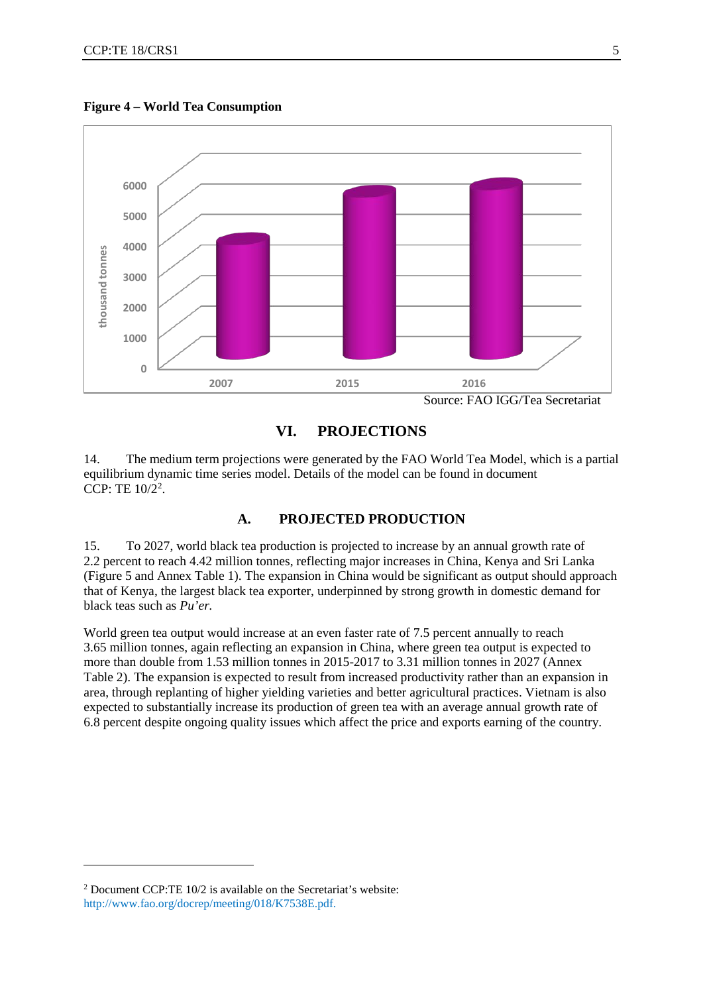

**Figure 4 – World Tea Consumption**

#### **VI. PROJECTIONS**

14. The medium term projections were generated by the FAO World Tea Model, which is a partial equilibrium dynamic time series model. Details of the model can be found in document CCP: TE  $10/2^2$  $10/2^2$  $10/2^2$ .

#### **A. PROJECTED PRODUCTION**

15. To 2027, world black tea production is projected to increase by an annual growth rate of 2.2 percent to reach 4.42 million tonnes, reflecting major increases in China, Kenya and Sri Lanka (Figure 5 and Annex Table 1). The expansion in China would be significant as output should approach that of Kenya, the largest black tea exporter, underpinned by strong growth in domestic demand for black teas such as *Pu'er.*

World green tea output would increase at an even faster rate of 7.5 percent annually to reach 3.65 million tonnes, again reflecting an expansion in China, where green tea output is expected to more than double from 1.53 million tonnes in 2015-2017 to 3.31 million tonnes in 2027 (Annex Table 2). The expansion is expected to result from increased productivity rather than an expansion in area, through replanting of higher yielding varieties and better agricultural practices. Vietnam is also expected to substantially increase its production of green tea with an average annual growth rate of 6.8 percent despite ongoing quality issues which affect the price and exports earning of the country.

<u>.</u>

<span id="page-4-0"></span><sup>2</sup> Document CCP:TE 10/2 is available on the Secretariat's website: [http://www.fao.org/docrep/meeting/018/K7538E.pdf.](http://www.fao.org/docrep/meeting/018/K7538E.pdf)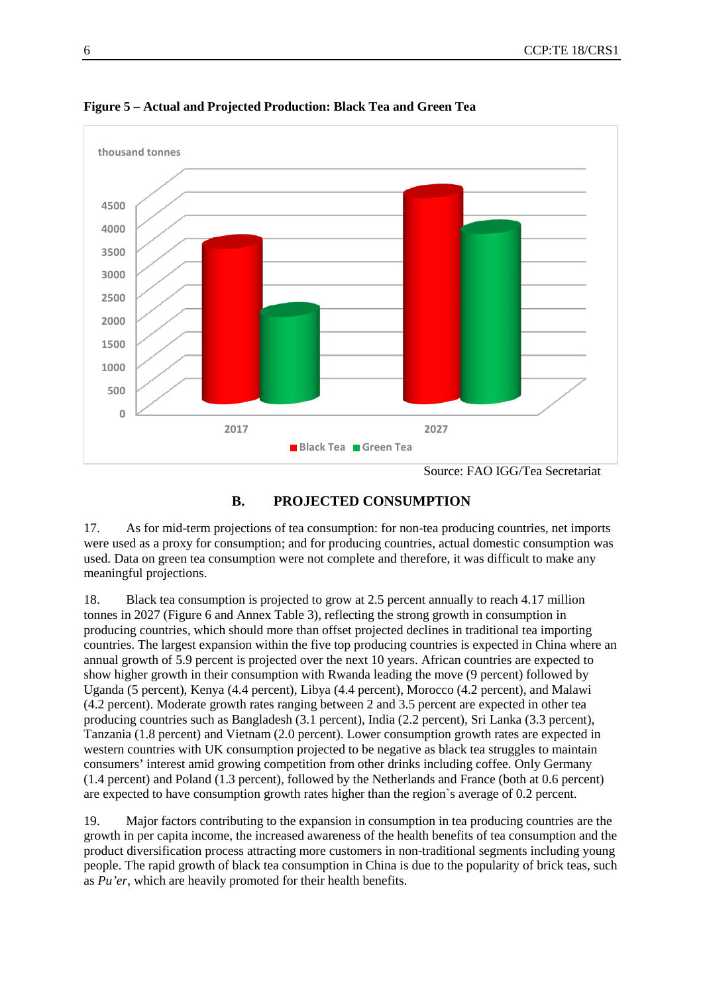

**Figure 5 – Actual and Projected Production: Black Tea and Green Tea**



17. As for mid-term projections of tea consumption: for non-tea producing countries, net imports were used as a proxy for consumption; and for producing countries, actual domestic consumption was used. Data on green tea consumption were not complete and therefore, it was difficult to make any meaningful projections.

18. Black tea consumption is projected to grow at 2.5 percent annually to reach 4.17 million tonnes in 2027 (Figure 6 and Annex Table 3), reflecting the strong growth in consumption in producing countries, which should more than offset projected declines in traditional tea importing countries. The largest expansion within the five top producing countries is expected in China where an annual growth of 5.9 percent is projected over the next 10 years. African countries are expected to show higher growth in their consumption with Rwanda leading the move (9 percent) followed by Uganda (5 percent), Kenya (4.4 percent), Libya (4.4 percent), Morocco (4.2 percent), and Malawi (4.2 percent). Moderate growth rates ranging between 2 and 3.5 percent are expected in other tea producing countries such as Bangladesh (3.1 percent), India (2.2 percent), Sri Lanka (3.3 percent), Tanzania (1.8 percent) and Vietnam (2.0 percent). Lower consumption growth rates are expected in western countries with UK consumption projected to be negative as black tea struggles to maintain consumers' interest amid growing competition from other drinks including coffee. Only Germany (1.4 percent) and Poland (1.3 percent), followed by the Netherlands and France (both at 0.6 percent) are expected to have consumption growth rates higher than the region`s average of 0.2 percent.

19. Major factors contributing to the expansion in consumption in tea producing countries are the growth in per capita income, the increased awareness of the health benefits of tea consumption and the product diversification process attracting more customers in non-traditional segments including young people. The rapid growth of black tea consumption in China is due to the popularity of brick teas, such as *Pu'er*, which are heavily promoted for their health benefits.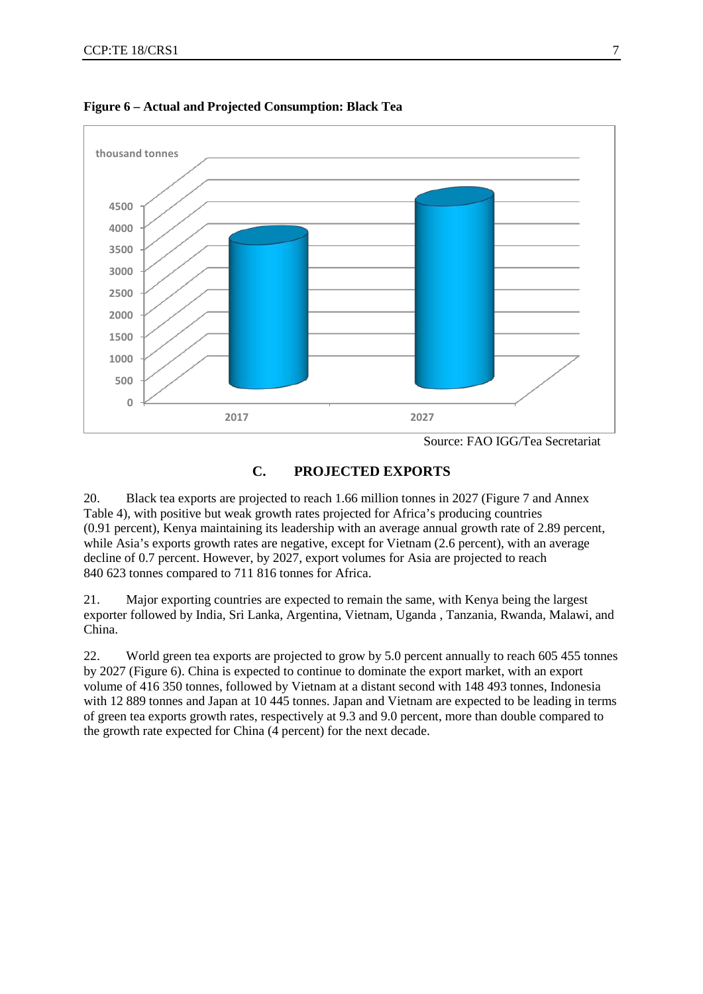

**Figure 6 – Actual and Projected Consumption: Black Tea**

## **C. PROJECTED EXPORTS**

20. Black tea exports are projected to reach 1.66 million tonnes in 2027 (Figure 7 and Annex Table 4), with positive but weak growth rates projected for Africa's producing countries (0.91 percent), Kenya maintaining its leadership with an average annual growth rate of 2.89 percent, while Asia's exports growth rates are negative, except for Vietnam (2.6 percent), with an average decline of 0.7 percent. However, by 2027, export volumes for Asia are projected to reach 840 623 tonnes compared to 711 816 tonnes for Africa.

21. Major exporting countries are expected to remain the same, with Kenya being the largest exporter followed by India, Sri Lanka, Argentina, Vietnam, Uganda , Tanzania, Rwanda, Malawi, and China.

22. World green tea exports are projected to grow by 5.0 percent annually to reach 605 455 tonnes by 2027 (Figure 6). China is expected to continue to dominate the export market, with an export volume of 416 350 tonnes, followed by Vietnam at a distant second with 148 493 tonnes, Indonesia with 12 889 tonnes and Japan at 10 445 tonnes. Japan and Vietnam are expected to be leading in terms of green tea exports growth rates, respectively at 9.3 and 9.0 percent, more than double compared to the growth rate expected for China (4 percent) for the next decade.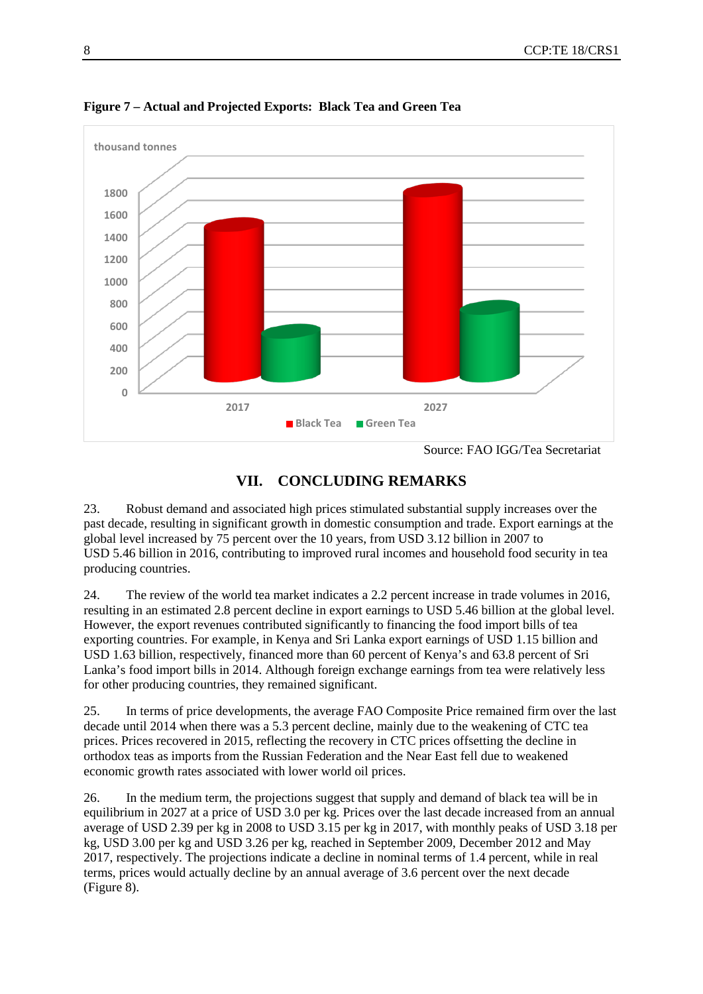

**Figure 7 – Actual and Projected Exports: Black Tea and Green Tea**

## **VII. CONCLUDING REMARKS**

23. Robust demand and associated high prices stimulated substantial supply increases over the past decade, resulting in significant growth in domestic consumption and trade. Export earnings at the global level increased by 75 percent over the 10 years, from USD 3.12 billion in 2007 to USD 5.46 billion in 2016, contributing to improved rural incomes and household food security in tea producing countries.

24. The review of the world tea market indicates a 2.2 percent increase in trade volumes in 2016, resulting in an estimated 2.8 percent decline in export earnings to USD 5.46 billion at the global level. However, the export revenues contributed significantly to financing the food import bills of tea exporting countries. For example, in Kenya and Sri Lanka export earnings of USD 1.15 billion and USD 1.63 billion, respectively, financed more than 60 percent of Kenya's and 63.8 percent of Sri Lanka's food import bills in 2014. Although foreign exchange earnings from tea were relatively less for other producing countries, they remained significant.

25. In terms of price developments, the average FAO Composite Price remained firm over the last decade until 2014 when there was a 5.3 percent decline, mainly due to the weakening of CTC tea prices. Prices recovered in 2015, reflecting the recovery in CTC prices offsetting the decline in orthodox teas as imports from the Russian Federation and the Near East fell due to weakened economic growth rates associated with lower world oil prices.

26. In the medium term, the projections suggest that supply and demand of black tea will be in equilibrium in 2027 at a price of USD 3.0 per kg. Prices over the last decade increased from an annual average of USD 2.39 per kg in 2008 to USD 3.15 per kg in 2017, with monthly peaks of USD 3.18 per kg, USD 3.00 per kg and USD 3.26 per kg, reached in September 2009, December 2012 and May 2017, respectively. The projections indicate a decline in nominal terms of 1.4 percent, while in real terms, prices would actually decline by an annual average of 3.6 percent over the next decade (Figure 8).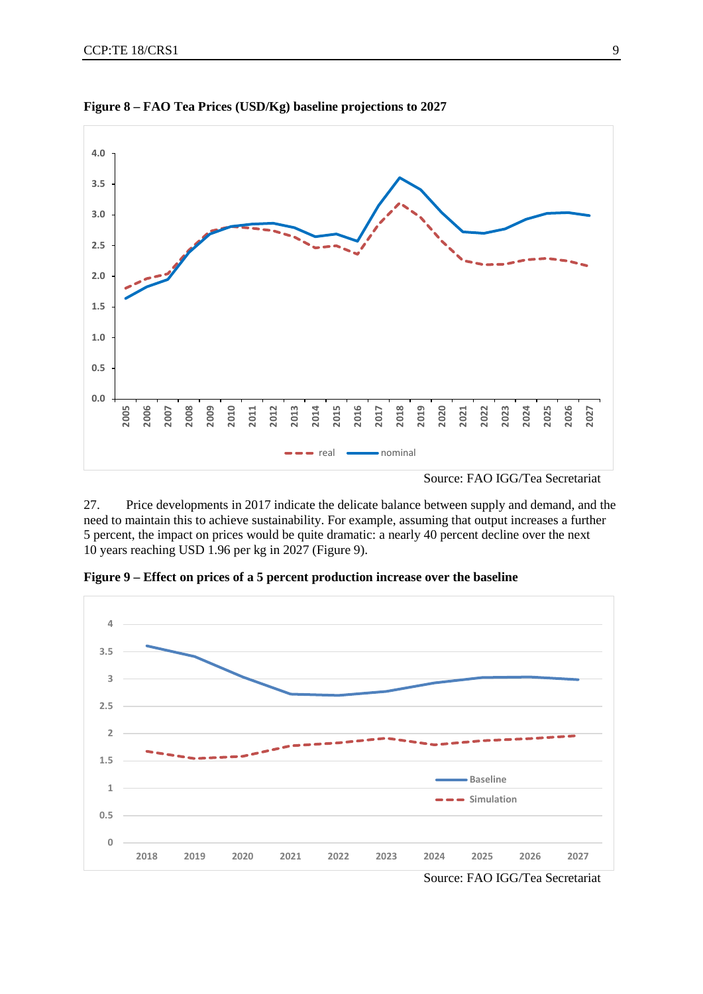

**Figure 8 – FAO Tea Prices (USD/Kg) baseline projections to 2027** 

27. Price developments in 2017 indicate the delicate balance between supply and demand, and the need to maintain this to achieve sustainability. For example, assuming that output increases a further 5 percent, the impact on prices would be quite dramatic: a nearly 40 percent decline over the next 10 years reaching USD 1.96 per kg in 2027 (Figure 9).

**Figure 9 – Effect on prices of a 5 percent production increase over the baseline**

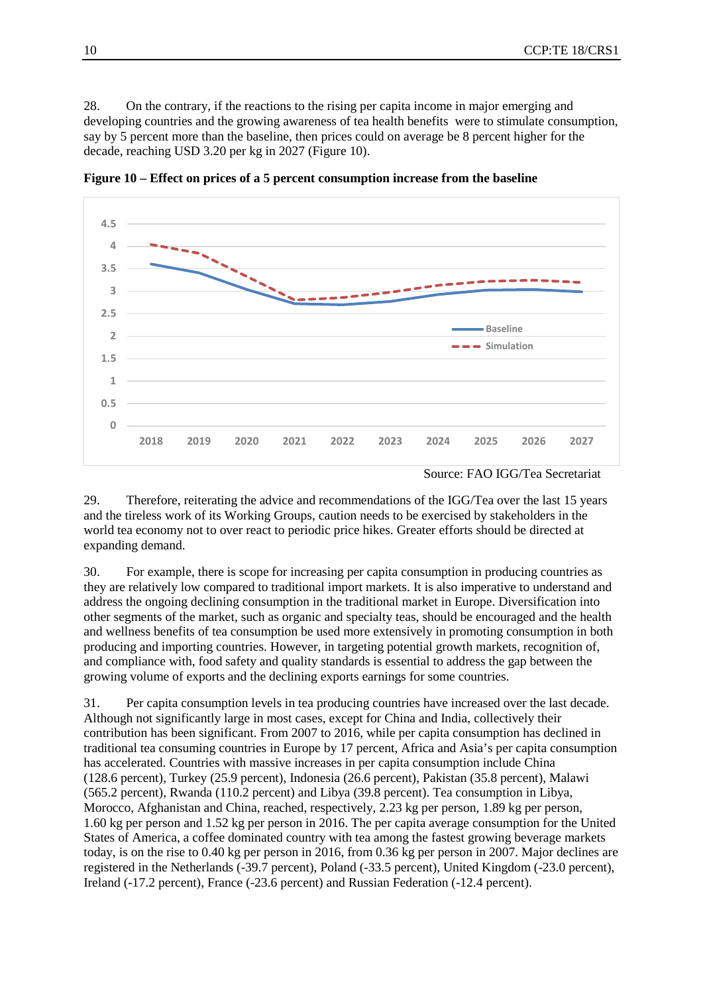28. On the contrary, if the reactions to the rising per capita income in major emerging and developing countries and the growing awareness of tea health benefits were to stimulate consumption, say by 5 percent more than the baseline, then prices could on average be 8 percent higher for the decade, reaching USD 3.20 per kg in 2027 (Figure 10).



**Figure 10 – Effect on prices of a 5 percent consumption increase from the baseline**

29. Therefore, reiterating the advice and recommendations of the IGG/Tea over the last 15 years and the tireless work of its Working Groups, caution needs to be exercised by stakeholders in the world tea economy not to over react to periodic price hikes. Greater efforts should be directed at expanding demand.

30. For example, there is scope for increasing per capita consumption in producing countries as they are relatively low compared to traditional import markets. It is also imperative to understand and address the ongoing declining consumption in the traditional market in Europe. Diversification into other segments of the market, such as organic and specialty teas, should be encouraged and the health and wellness benefits of tea consumption be used more extensively in promoting consumption in both producing and importing countries. However, in targeting potential growth markets, recognition of, and compliance with, food safety and quality standards is essential to address the gap between the growing volume of exports and the declining exports earnings for some countries.

31. Per capita consumption levels in tea producing countries have increased over the last decade. Although not significantly large in most cases, except for China and India, collectively their contribution has been significant. From 2007 to 2016, while per capita consumption has declined in traditional tea consuming countries in Europe by 17 percent, Africa and Asia's per capita consumption has accelerated. Countries with massive increases in per capita consumption include China (128.6 percent), Turkey (25.9 percent), Indonesia (26.6 percent), Pakistan (35.8 percent), Malawi (565.2 percent), Rwanda (110.2 percent) and Libya (39.8 percent). Tea consumption in Libya, Morocco, Afghanistan and China, reached, respectively, 2.23 kg per person, 1.89 kg per person, 1.60 kg per person and 1.52 kg per person in 2016. The per capita average consumption for the United States of America, a coffee dominated country with tea among the fastest growing beverage markets today, is on the rise to 0.40 kg per person in 2016, from 0.36 kg per person in 2007. Major declines are registered in the Netherlands (-39.7 percent), Poland (-33.5 percent), United Kingdom (-23.0 percent), Ireland (-17.2 percent), France (-23.6 percent) and Russian Federation (-12.4 percent).

Source: FAO IGG/Tea Secretariat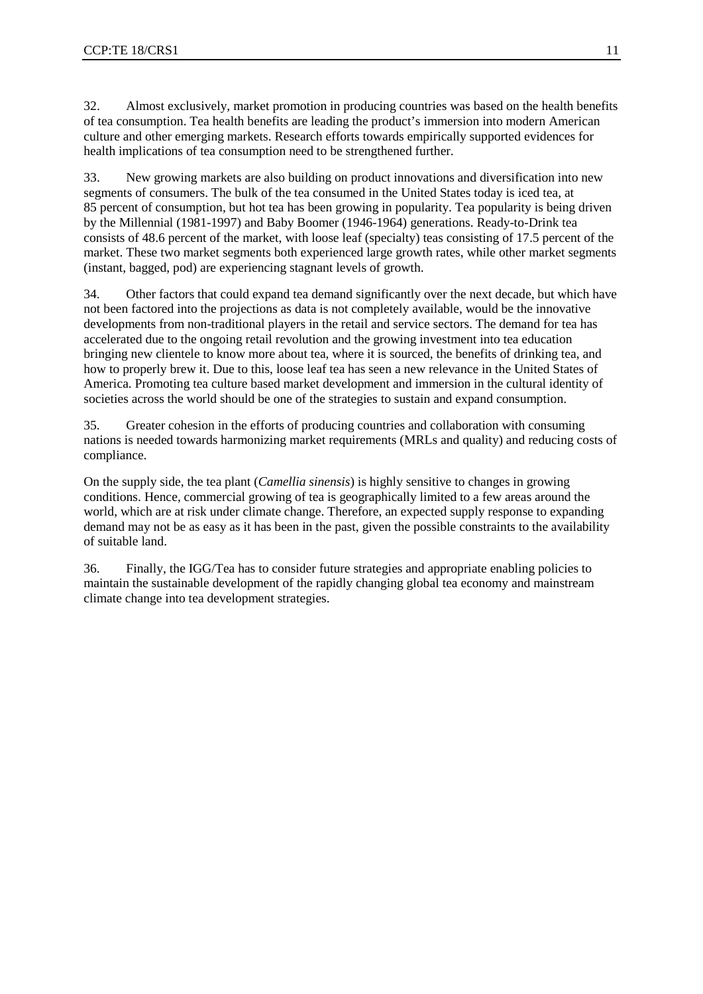32. Almost exclusively, market promotion in producing countries was based on the health benefits of tea consumption. Tea health benefits are leading the product's immersion into modern American culture and other emerging markets. Research efforts towards empirically supported evidences for health implications of tea consumption need to be strengthened further.

33. New growing markets are also building on product innovations and diversification into new segments of consumers. The bulk of the tea consumed in the United States today is iced tea, at 85 percent of consumption, but hot tea has been growing in popularity. Tea popularity is being driven by the Millennial (1981-1997) and Baby Boomer (1946-1964) generations. Ready-to-Drink tea consists of 48.6 percent of the market, with loose leaf (specialty) teas consisting of 17.5 percent of the market. These two market segments both experienced large growth rates, while other market segments (instant, bagged, pod) are experiencing stagnant levels of growth.

34. Other factors that could expand tea demand significantly over the next decade, but which have not been factored into the projections as data is not completely available, would be the innovative developments from non-traditional players in the retail and service sectors. The demand for tea has accelerated due to the ongoing retail revolution and the growing investment into tea education bringing new clientele to know more about tea, where it is sourced, the benefits of drinking tea, and how to properly brew it. Due to this, loose leaf tea has seen a new relevance in the United States of America. Promoting tea culture based market development and immersion in the cultural identity of societies across the world should be one of the strategies to sustain and expand consumption.

35. Greater cohesion in the efforts of producing countries and collaboration with consuming nations is needed towards harmonizing market requirements (MRLs and quality) and reducing costs of compliance.

On the supply side, the tea plant (*Camellia sinensis*) is highly sensitive to changes in growing conditions. Hence, commercial growing of tea is geographically limited to a few areas around the world, which are at risk under climate change. Therefore, an expected supply response to expanding demand may not be as easy as it has been in the past, given the possible constraints to the availability of suitable land.

36. Finally, the IGG/Tea has to consider future strategies and appropriate enabling policies to maintain the sustainable development of the rapidly changing global tea economy and mainstream climate change into tea development strategies.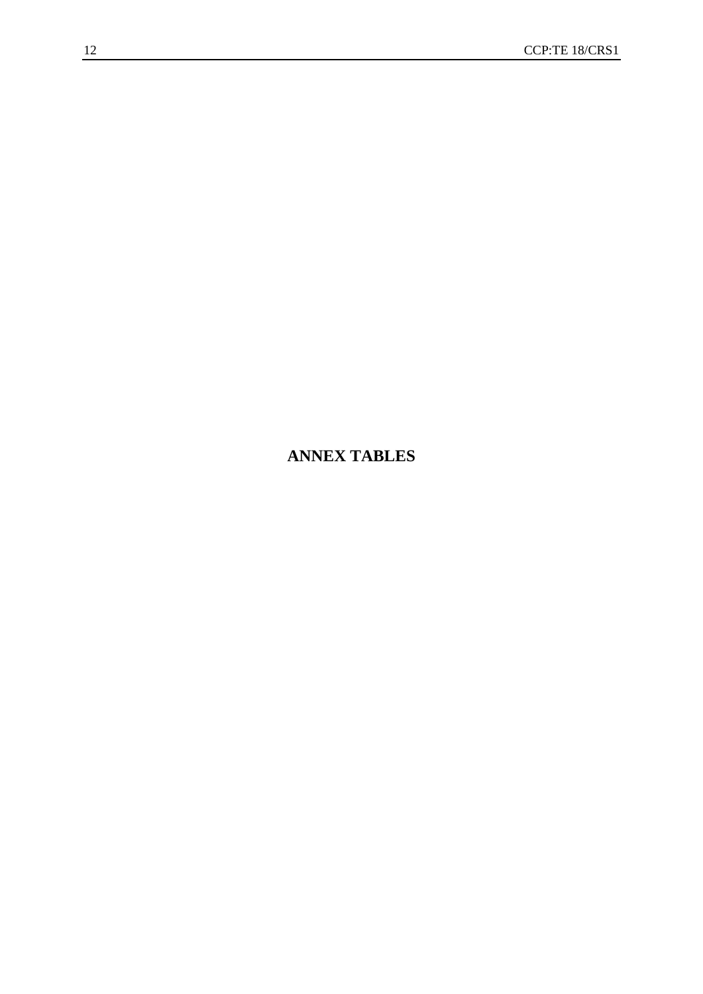# **ANNEX TABLES**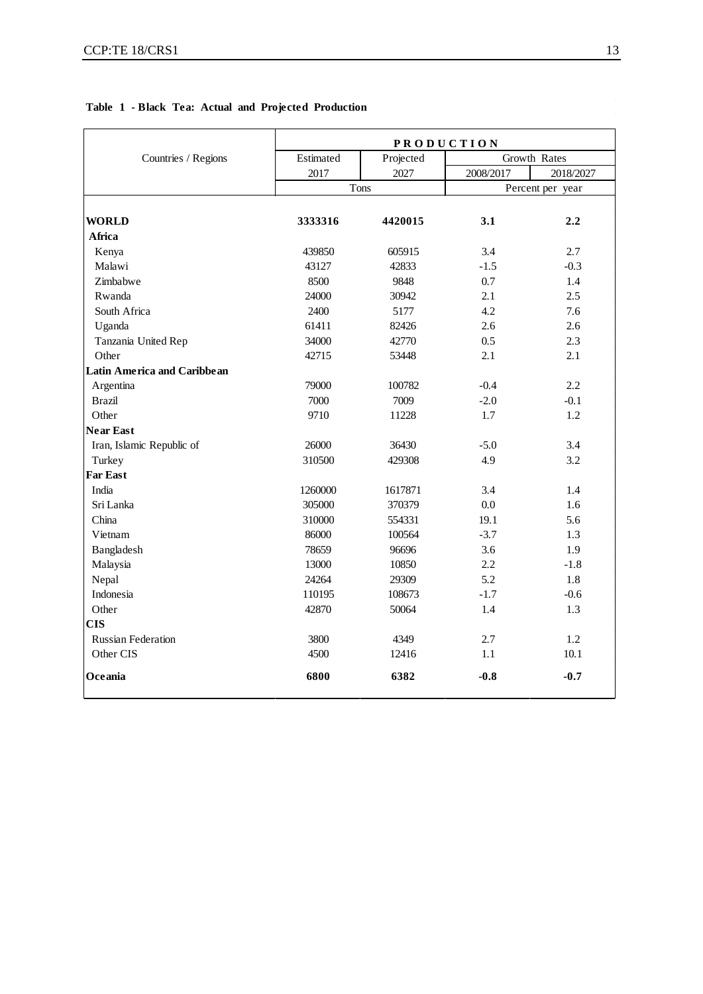$\sqrt{ }$ 

| Table 1 - Black Tea: Actual and Projected Production |           |           |                   |  |  |  |  |  |
|------------------------------------------------------|-----------|-----------|-------------------|--|--|--|--|--|
|                                                      |           |           | <b>PRODUCTION</b> |  |  |  |  |  |
| Countries / Regions                                  | Estimated | Projected | Gr                |  |  |  |  |  |

|                                    | <b>r N O D U C 1 I U N</b> |           |                  |              |  |  |  |
|------------------------------------|----------------------------|-----------|------------------|--------------|--|--|--|
| Countries / Regions                | Estimated                  | Projected |                  | Growth Rates |  |  |  |
|                                    | 2017                       | 2027      | 2008/2017        | 2018/2027    |  |  |  |
|                                    | Tons                       |           | Percent per year |              |  |  |  |
|                                    |                            |           |                  |              |  |  |  |
| <b>WORLD</b>                       | 3333316                    | 4420015   | 3.1              | 2.2          |  |  |  |
| Africa                             |                            |           |                  |              |  |  |  |
| Kenya                              | 439850                     | 605915    | 3.4              | 2.7          |  |  |  |
| Malawi                             | 43127                      | 42833     | $-1.5$           | $-0.3$       |  |  |  |
| Zimbabwe                           | 8500                       | 9848      | 0.7              | 1.4          |  |  |  |
| Rwanda                             | 24000                      | 30942     | 2.1              | 2.5          |  |  |  |
| South Africa                       | 2400                       | 5177      | 4.2              | 7.6          |  |  |  |
| Uganda                             | 61411                      | 82426     | 2.6              | 2.6          |  |  |  |
| Tanzania United Rep                | 34000                      | 42770     | 0.5              | 2.3          |  |  |  |
| Other                              | 42715                      | 53448     | 2.1              | 2.1          |  |  |  |
| <b>Latin America and Caribbean</b> |                            |           |                  |              |  |  |  |
| Argentina                          | 79000                      | 100782    | $-0.4$           | 2.2          |  |  |  |
| <b>Brazil</b>                      | 7000                       | 7009      | $-2.0$           | $-0.1$       |  |  |  |
| Other                              | 9710                       | 11228     | 1.7              | 1.2          |  |  |  |
| <b>Near East</b>                   |                            |           |                  |              |  |  |  |
| Iran, Islamic Republic of          | 26000                      | 36430     | $-5.0$           | 3.4          |  |  |  |
| Turkey                             | 310500                     | 429308    | 4.9              | 3.2          |  |  |  |
| <b>Far East</b>                    |                            |           |                  |              |  |  |  |
| India                              | 1260000                    | 1617871   | 3.4              | 1.4          |  |  |  |
| Sri Lanka                          | 305000                     | 370379    | 0.0              | 1.6          |  |  |  |
| China                              | 310000                     | 554331    | 19.1             | 5.6          |  |  |  |
| Vietnam                            | 86000                      | 100564    | $-3.7$           | 1.3          |  |  |  |
| Bangladesh                         | 78659                      | 96696     | 3.6              | 1.9          |  |  |  |
| Malaysia                           | 13000                      | 10850     | 2.2              | $-1.8$       |  |  |  |
| Nepal                              | 24264                      | 29309     | 5.2              | 1.8          |  |  |  |
| Indonesia                          | 110195                     | 108673    | $-1.7$           | $-0.6$       |  |  |  |
| Other                              | 42870                      | 50064     | 1.4              | 1.3          |  |  |  |
| <b>CIS</b>                         |                            |           |                  |              |  |  |  |
| <b>Russian Federation</b>          | 3800                       | 4349      | 2.7              | 1.2          |  |  |  |
| Other CIS                          | 4500                       | 12416     | 1.1              | 10.1         |  |  |  |
| Oceania                            | 6800                       | 6382      | $-0.8$           | $-0.7$       |  |  |  |

٦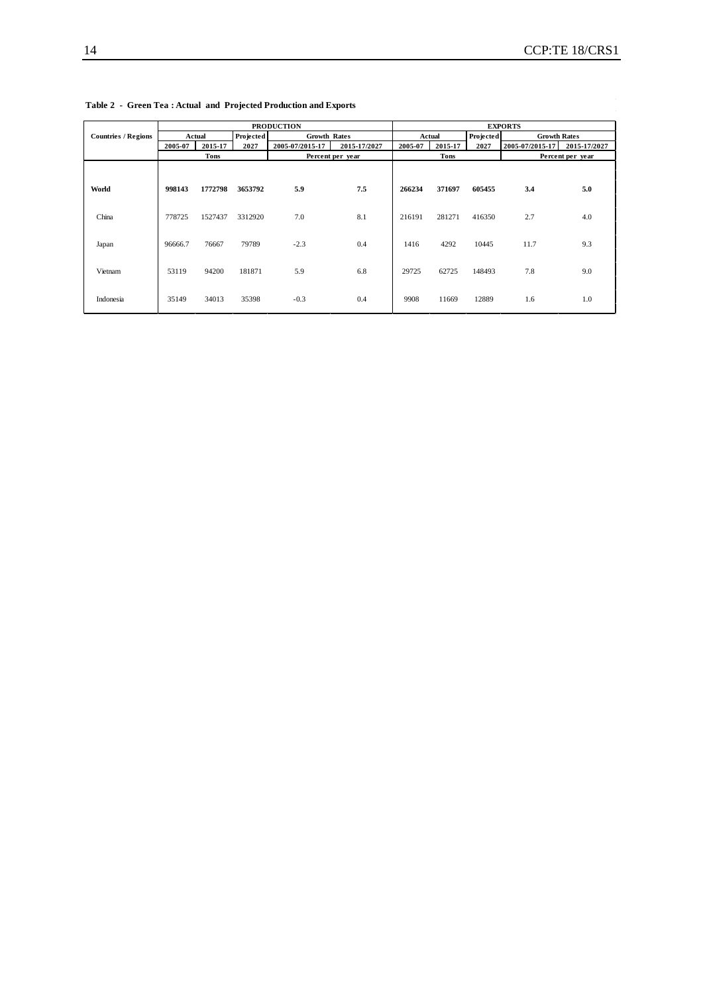|                            | <b>PRODUCTION</b> |                          |           |                     |              | <b>EXPORTS</b>      |         |                     |                 |              |
|----------------------------|-------------------|--------------------------|-----------|---------------------|--------------|---------------------|---------|---------------------|-----------------|--------------|
| <b>Countries / Regions</b> |                   | Actual                   | Projected | <b>Growth Rates</b> |              | Projected<br>Actual |         | <b>Growth Rates</b> |                 |              |
|                            | 2005-07           | 2015-17                  | 2027      | 2005-07/2015-17     | 2015-17/2027 | 2005-07             | 2015-17 | 2027                | 2005-07/2015-17 | 2015-17/2027 |
|                            |                   | Tons<br>Percent per year |           |                     | <b>Tons</b>  |                     |         | Percent per year    |                 |              |
| World                      | 998143            | 1772798                  | 3653792   | 5.9                 | 7.5          | 266234              | 371697  | 605455              | 3.4             | 5.0          |
| China                      | 778725            | 1527437                  | 3312920   | 7.0                 | 8.1          | 216191              | 281271  | 416350              | 2.7             | 4.0          |
| Japan                      | 96666.7           | 76667                    | 79789     | $-2.3$              | 0.4          | 1416                | 4292    | 10445               | 11.7            | 9.3          |
| Vietnam                    | 53119             | 94200                    | 181871    | 5.9                 | 6.8          | 29725               | 62725   | 148493              | 7.8             | 9.0          |
| Indonesia                  | 35149             | 34013                    | 35398     | $-0.3$              | 0.4          | 9908                | 11669   | 12889               | 1.6             | 1.0          |

**Table 2 - Green Tea : Actual and Projected Production and Exports**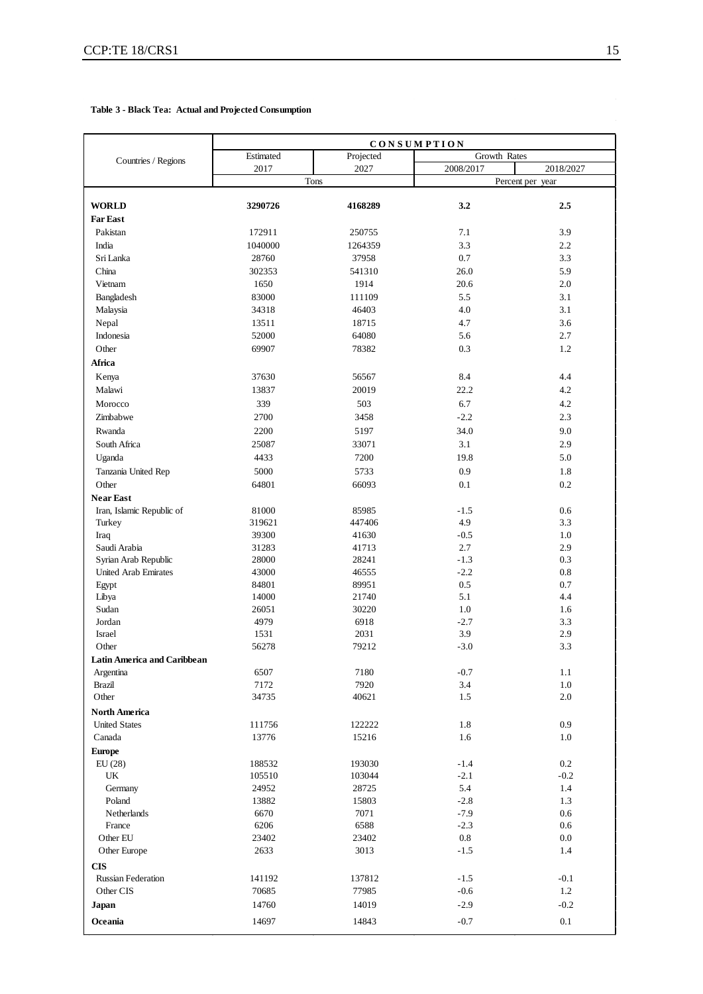#### **Table 3 - Black Tea: Actual and Projected Consumption**

|                                    | CONSUMPTION |           |           |                  |  |
|------------------------------------|-------------|-----------|-----------|------------------|--|
| Countries / Regions                | Estimated   | Projected |           | Growth Rates     |  |
|                                    | 2017        | 2027      | 2008/2017 | 2018/2027        |  |
|                                    |             | Tons      |           | Percent per year |  |
|                                    |             |           |           |                  |  |
| <b>WORLD</b>                       | 3290726     | 4168289   | 3.2       | 2.5              |  |
| <b>Far East</b>                    |             |           |           |                  |  |
| Pakistan                           | 172911      | 250755    | 7.1       | 3.9              |  |
| India                              | 1040000     | 1264359   | 3.3       | 2.2              |  |
| Sri Lanka                          | 28760       | 37958     | $0.7\,$   | 3.3              |  |
| China                              | 302353      | 541310    | 26.0      | 5.9              |  |
| Vietnam                            | 1650        | 1914      | 20.6      | 2.0              |  |
| Bangladesh                         | 83000       | 111109    | 5.5       | 3.1              |  |
| Malaysia                           | 34318       | 46403     | 4.0       | 3.1              |  |
| Nepal                              | 13511       | 18715     | 4.7       | 3.6              |  |
| Indonesia                          | 52000       | 64080     | 5.6       | 2.7              |  |
| Other                              | 69907       | 78382     | 0.3       | 1.2              |  |
| Africa                             |             |           |           |                  |  |
| Kenya                              | 37630       | 56567     | 8.4       | 4.4              |  |
| Malawi                             | 13837       | 20019     | 22.2      | 4.2              |  |
| Morocco                            | 339         | 503       | 6.7       | 4.2              |  |
| Zimbabwe                           | 2700        | 3458      | $-2.2$    | 2.3              |  |
| Rwanda                             | 2200        | 5197      | 34.0      | 9.0              |  |
| South Africa                       | 25087       | 33071     | 3.1       | 2.9              |  |
| Uganda                             | 4433        | 7200      | 19.8      | 5.0              |  |
| Tanzania United Rep                | 5000        | 5733      | 0.9       | 1.8              |  |
| Other                              | 64801       | 66093     | 0.1       | $0.2\,$          |  |
| <b>Near East</b>                   |             |           |           |                  |  |
| Iran, Islamic Republic of          | 81000       | 85985     | $-1.5$    | 0.6              |  |
| Turkey                             | 319621      | 447406    | 4.9       | 3.3              |  |
| Iraq                               | 39300       | 41630     | $-0.5$    | 1.0              |  |
| Saudi Arabia                       | 31283       | 41713     | 2.7       | 2.9              |  |
| Syrian Arab Republic               | 28000       | 28241     | $-1.3$    | 0.3              |  |
| <b>United Arab Emirates</b>        | 43000       | 46555     | $-2.2$    | 0.8              |  |
| Egypt                              | 84801       | 89951     | 0.5       | 0.7              |  |
| Libya                              | 14000       | 21740     | 5.1       | 4.4              |  |
| Sudan                              | 26051       | 30220     | 1.0       | 1.6              |  |
| Jordan                             | 4979        | 6918      | $-2.7$    | 3.3              |  |
| Israel                             | 1531        | 2031      | 3.9       | 2.9              |  |
| Other                              | 56278       | 79212     | $-3.0$    | 3.3              |  |
| <b>Latin America and Caribbean</b> |             |           |           |                  |  |
| Argentina                          | 6507        | 7180      | $-0.7$    | 1.1              |  |
| <b>Brazil</b>                      | 7172        | 7920      | 3.4       | 1.0              |  |
| Other                              | 34735       | 40621     | 1.5       | $2.0\,$          |  |
| North America                      |             |           |           |                  |  |
| <b>United States</b>               | 111756      | 122222    | 1.8       | 0.9              |  |
| Canada                             | 13776       | 15216     | 1.6       | 1.0              |  |
| <b>Europe</b>                      |             |           |           |                  |  |
| EU(28)                             | 188532      | 193030    | $-1.4$    | 0.2              |  |
| UK                                 | 105510      | 103044    | $-2.1$    | $-0.2$           |  |
| Germany                            | 24952       | 28725     | 5.4       | 1.4              |  |
| Poland                             | 13882       | 15803     | $-2.8$    | 1.3              |  |
| Netherlands                        | 6670        | 7071      | $-7.9$    | 0.6              |  |
| France                             | 6206        | 6588      | $-2.3$    | 0.6              |  |
| Other EU                           | 23402       | 23402     | $\rm 0.8$ | 0.0              |  |
| Other Europe                       | 2633        | 3013      | $-1.5$    | 1.4              |  |
| <b>CIS</b>                         |             |           |           |                  |  |
| <b>Russian Federation</b>          | 141192      | 137812    | $-1.5$    | $-0.1$           |  |
| Other CIS                          | 70685       | 77985     | $-0.6$    | 1.2              |  |
| Japan                              | 14760       | 14019     | $-2.9$    | $-0.2$           |  |
| Oceania                            | 14697       | 14843     | $-0.7$    | 0.1              |  |
|                                    |             |           |           |                  |  |